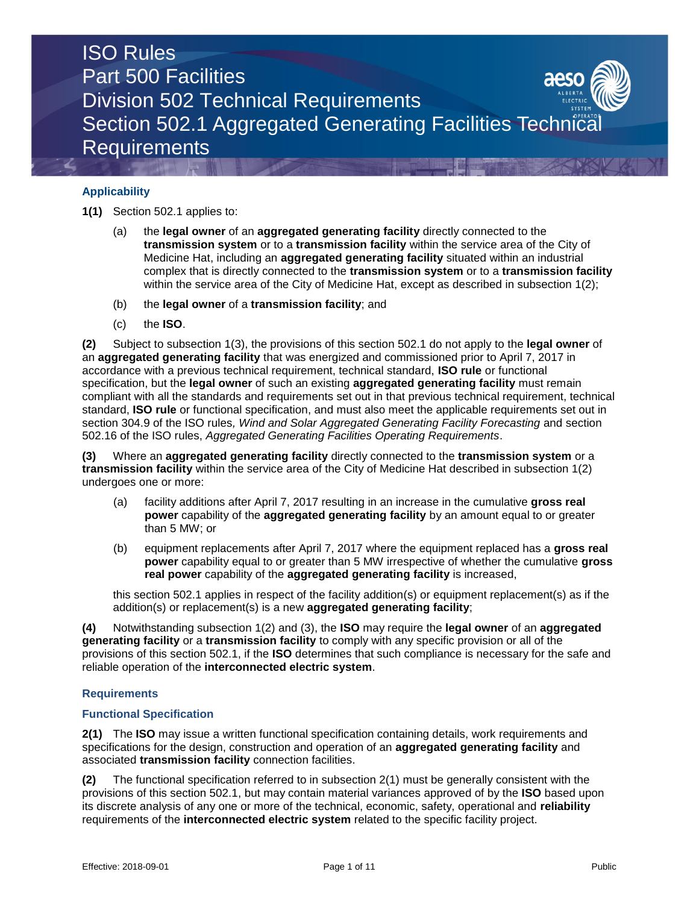# **Applicability**

**1(1)** Section 502.1 applies to:

- (a) the **legal owner** of an **aggregated generating facility** directly connected to the **transmission system** or to a **transmission facility** within the service area of the City of Medicine Hat, including an **aggregated generating facility** situated within an industrial complex that is directly connected to the **transmission system** or to a **transmission facility**  within the service area of the City of Medicine Hat, except as described in subsection 1(2);
- (b) the **legal owner** of a **transmission facility**; and
- (c) the **ISO**.

**(2)** Subject to subsection 1(3), the provisions of this section 502.1 do not apply to the **legal owner** of an **aggregated generating facility** that was energized and commissioned prior to April 7, 2017 in accordance with a previous technical requirement, technical standard, **ISO rule** or functional specification, but the **legal owner** of such an existing **aggregated generating facility** must remain compliant with all the standards and requirements set out in that previous technical requirement, technical standard, **ISO rule** or functional specification, and must also meet the applicable requirements set out in section 304.9 of the ISO rules*, Wind and Solar Aggregated Generating Facility Forecasting* and section 502.16 of the ISO rules, *Aggregated Generating Facilities Operating Requirements*.

**(3)** Where an **aggregated generating facility** directly connected to the **transmission system** or a **transmission facility** within the service area of the City of Medicine Hat described in subsection 1(2) undergoes one or more:

- (a) facility additions after April 7, 2017 resulting in an increase in the cumulative **gross real power** capability of the **aggregated generating facility** by an amount equal to or greater than 5 MW; or
- (b) equipment replacements after April 7, 2017 where the equipment replaced has a **gross real power** capability equal to or greater than 5 MW irrespective of whether the cumulative **gross real power** capability of the **aggregated generating facility** is increased,

this section 502.1 applies in respect of the facility addition(s) or equipment replacement(s) as if the addition(s) or replacement(s) is a new **aggregated generating facility**;

**(4)** Notwithstanding subsection 1(2) and (3), the **ISO** may require the **legal owner** of an **aggregated generating facility** or a **transmission facility** to comply with any specific provision or all of the provisions of this section 502.1, if the **ISO** determines that such compliance is necessary for the safe and reliable operation of the **interconnected electric system**.

# **Requirements**

# **Functional Specification**

**2(1)** The **ISO** may issue a written functional specification containing details, work requirements and specifications for the design, construction and operation of an **aggregated generating facility** and associated **transmission facility** connection facilities.

**(2)** The functional specification referred to in subsection 2(1) must be generally consistent with the provisions of this section 502.1, but may contain material variances approved of by the **ISO** based upon its discrete analysis of any one or more of the technical, economic, safety, operational and **reliability** requirements of the **interconnected electric system** related to the specific facility project.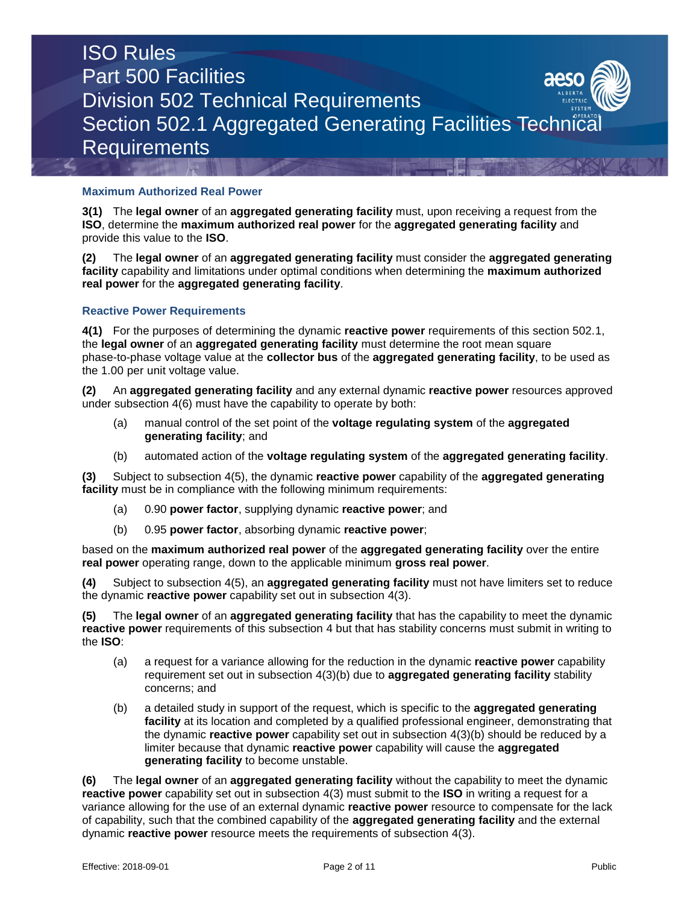# **Maximum Authorized Real Power**

**3(1)** The **legal owner** of an **aggregated generating facility** must, upon receiving a request from the **ISO**, determine the **maximum authorized real power** for the **aggregated generating facility** and provide this value to the **ISO**.

**(2)** The **legal owner** of an **aggregated generating facility** must consider the **aggregated generating facility** capability and limitations under optimal conditions when determining the **maximum authorized real power** for the **aggregated generating facility**.

# **Reactive Power Requirements**

**4(1)** For the purposes of determining the dynamic **reactive power** requirements of this section 502.1, the **legal owner** of an **aggregated generating facility** must determine the root mean square phase-to-phase voltage value at the **collector bus** of the **aggregated generating facility**, to be used as the 1.00 per unit voltage value.

**(2)** An **aggregated generating facility** and any external dynamic **reactive power** resources approved under subsection 4(6) must have the capability to operate by both:

- (a) manual control of the set point of the **voltage regulating system** of the **aggregated generating facility**; and
- (b) automated action of the **voltage regulating system** of the **aggregated generating facility**.

**(3)** Subject to subsection 4(5), the dynamic **reactive power** capability of the **aggregated generating facility** must be in compliance with the following minimum requirements:

- (a) 0.90 **power factor**, supplying dynamic **reactive power**; and
- (b) 0.95 **power factor**, absorbing dynamic **reactive power**;

based on the **maximum authorized real power** of the **aggregated generating facility** over the entire **real power** operating range, down to the applicable minimum **gross real power**.

**(4)** Subject to subsection 4(5), an **aggregated generating facility** must not have limiters set to reduce the dynamic **reactive power** capability set out in subsection 4(3).

**(5)** The **legal owner** of an **aggregated generating facility** that has the capability to meet the dynamic **reactive power** requirements of this subsection 4 but that has stability concerns must submit in writing to the **ISO**:

- (a) a request for a variance allowing for the reduction in the dynamic **reactive power** capability requirement set out in subsection 4(3)(b) due to **aggregated generating facility** stability concerns; and
- (b) a detailed study in support of the request, which is specific to the **aggregated generating facility** at its location and completed by a qualified professional engineer, demonstrating that the dynamic **reactive power** capability set out in subsection 4(3)(b) should be reduced by a limiter because that dynamic **reactive power** capability will cause the **aggregated generating facility** to become unstable.

**(6)** The **legal owner** of an **aggregated generating facility** without the capability to meet the dynamic **reactive power** capability set out in subsection 4(3) must submit to the **ISO** in writing a request for a variance allowing for the use of an external dynamic **reactive power** resource to compensate for the lack of capability, such that the combined capability of the **aggregated generating facility** and the external dynamic **reactive power** resource meets the requirements of subsection 4(3).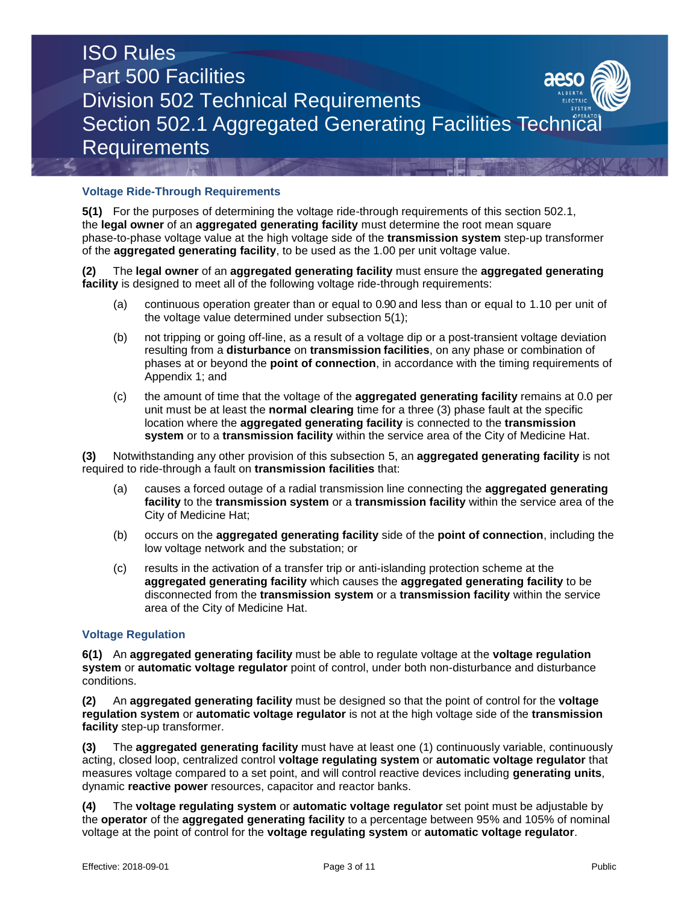# **Voltage Ride-Through Requirements**

**5(1)** For the purposes of determining the voltage ride-through requirements of this section 502.1, the **legal owner** of an **aggregated generating facility** must determine the root mean square phase-to-phase voltage value at the high voltage side of the **transmission system** step-up transformer of the **aggregated generating facility**, to be used as the 1.00 per unit voltage value.

**(2)** The **legal owner** of an **aggregated generating facility** must ensure the **aggregated generating facility** is designed to meet all of the following voltage ride-through requirements:

- (a) continuous operation greater than or equal to 0.90 and less than or equal to 1.10 per unit of the voltage value determined under subsection 5(1);
- (b) not tripping or going off-line, as a result of a voltage dip or a post-transient voltage deviation resulting from a **disturbance** on **transmission facilities**, on any phase or combination of phases at or beyond the **point of connection**, in accordance with the timing requirements of Appendix 1; and
- (c) the amount of time that the voltage of the **aggregated generating facility** remains at 0.0 per unit must be at least the **normal clearing** time for a three (3) phase fault at the specific location where the **aggregated generating facility** is connected to the **transmission system** or to a **transmission facility** within the service area of the City of Medicine Hat.

**(3)** Notwithstanding any other provision of this subsection 5, an **aggregated generating facility** is not required to ride-through a fault on **transmission facilities** that:

- (a) causes a forced outage of a radial transmission line connecting the **aggregated generating facility** to the **transmission system** or a **transmission facility** within the service area of the City of Medicine Hat;
- (b) occurs on the **aggregated generating facility** side of the **point of connection**, including the low voltage network and the substation; or
- (c) results in the activation of a transfer trip or anti-islanding protection scheme at the **aggregated generating facility** which causes the **aggregated generating facility** to be disconnected from the **transmission system** or a **transmission facility** within the service area of the City of Medicine Hat.

# **Voltage Regulation**

**6(1)** An **aggregated generating facility** must be able to regulate voltage at the **voltage regulation system** or **automatic voltage regulator** point of control, under both non-disturbance and disturbance conditions.

**(2)** An **aggregated generating facility** must be designed so that the point of control for the **voltage regulation system** or **automatic voltage regulator** is not at the high voltage side of the **transmission facility** step-up transformer.

**(3)** The **aggregated generating facility** must have at least one (1) continuously variable, continuously acting, closed loop, centralized control **voltage regulating system** or **automatic voltage regulator** that measures voltage compared to a set point, and will control reactive devices including **generating units**, dynamic **reactive power** resources, capacitor and reactor banks.

**(4)** The **voltage regulating system** or **automatic voltage regulator** set point must be adjustable by the **operator** of the **aggregated generating facility** to a percentage between 95% and 105% of nominal voltage at the point of control for the **voltage regulating system** or **automatic voltage regulator**.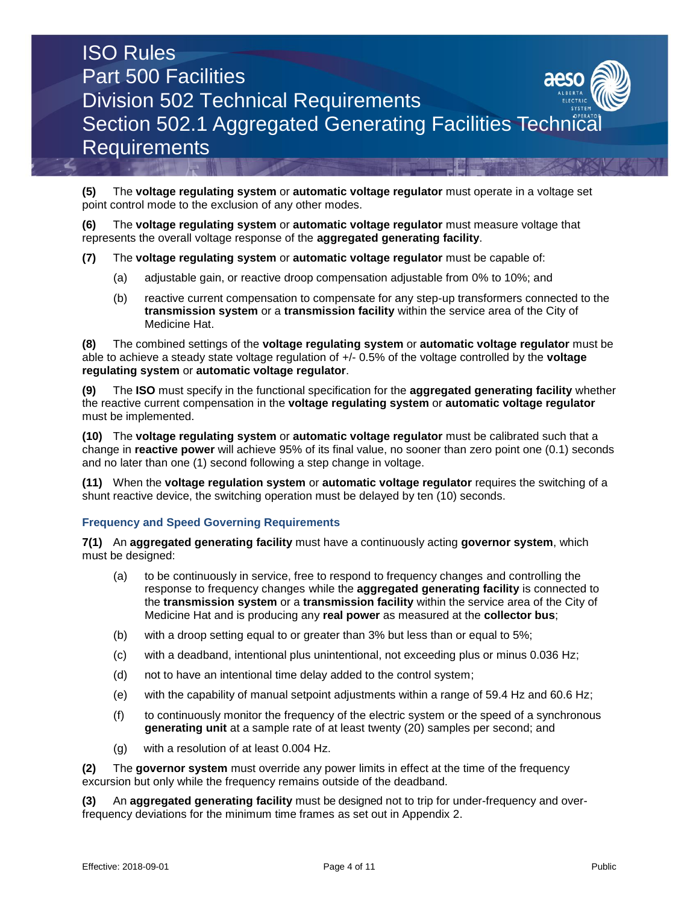

**(5)** The **voltage regulating system** or **automatic voltage regulator** must operate in a voltage set point control mode to the exclusion of any other modes.

**(6)** The **voltage regulating system** or **automatic voltage regulator** must measure voltage that represents the overall voltage response of the **aggregated generating facility**.

- **(7)** The **voltage regulating system** or **automatic voltage regulator** must be capable of:
	- (a) adjustable gain, or reactive droop compensation adjustable from 0% to 10%; and
	- (b) reactive current compensation to compensate for any step-up transformers connected to the **transmission system** or a **transmission facility** within the service area of the City of Medicine Hat.

**(8)** The combined settings of the **voltage regulating system** or **automatic voltage regulator** must be able to achieve a steady state voltage regulation of +/- 0.5% of the voltage controlled by the **voltage regulating system** or **automatic voltage regulator**.

**(9)** The **ISO** must specify in the functional specification for the **aggregated generating facility** whether the reactive current compensation in the **voltage regulating system** or **automatic voltage regulator** must be implemented.

**(10)** The **voltage regulating system** or **automatic voltage regulator** must be calibrated such that a change in **reactive power** will achieve 95% of its final value, no sooner than zero point one (0.1) seconds and no later than one (1) second following a step change in voltage.

**(11)** When the **voltage regulation system** or **automatic voltage regulator** requires the switching of a shunt reactive device, the switching operation must be delayed by ten (10) seconds.

# **Frequency and Speed Governing Requirements**

**7(1)** An **aggregated generating facility** must have a continuously acting **governor system**, which must be designed:

- (a) to be continuously in service, free to respond to frequency changes and controlling the response to frequency changes while the **aggregated generating facility** is connected to the **transmission system** or a **transmission facility** within the service area of the City of Medicine Hat and is producing any **real power** as measured at the **collector bus**;
- (b) with a droop setting equal to or greater than 3% but less than or equal to 5%;
- (c) with a deadband, intentional plus unintentional, not exceeding plus or minus 0.036 Hz;
- (d) not to have an intentional time delay added to the control system;
- (e) with the capability of manual setpoint adjustments within a range of 59.4 Hz and 60.6 Hz;
- (f) to continuously monitor the frequency of the electric system or the speed of a synchronous **generating unit** at a sample rate of at least twenty (20) samples per second; and
- (g) with a resolution of at least 0.004 Hz.

**(2)** The **governor system** must override any power limits in effect at the time of the frequency excursion but only while the frequency remains outside of the deadband.

**(3)** An **aggregated generating facility** must be designed not to trip for under-frequency and overfrequency deviations for the minimum time frames as set out in Appendix 2.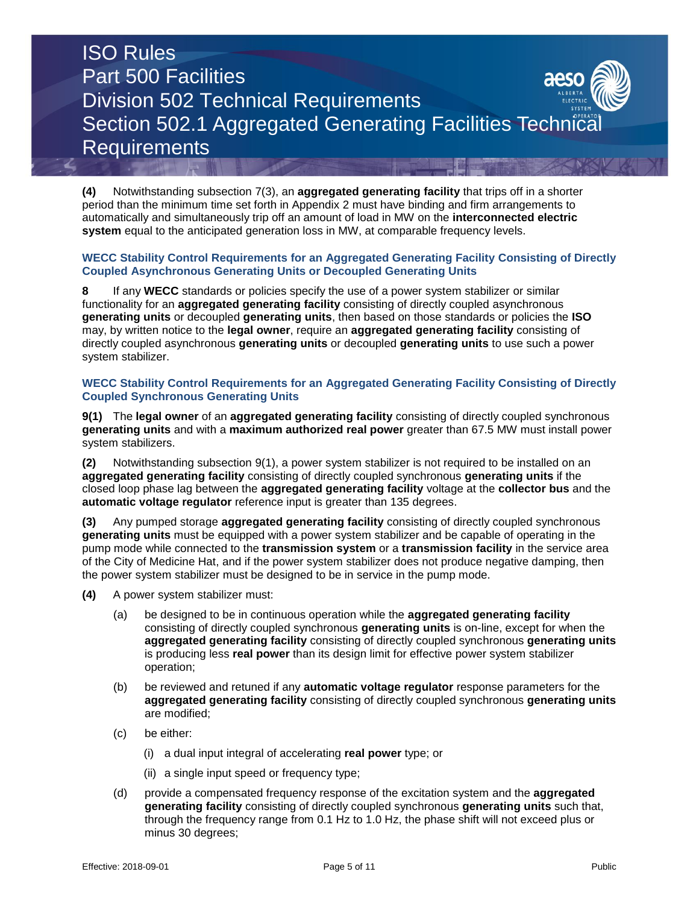**(4)** Notwithstanding subsection 7(3), an **aggregated generating facility** that trips off in a shorter period than the minimum time set forth in Appendix 2 must have binding and firm arrangements to automatically and simultaneously trip off an amount of load in MW on the **interconnected electric system** equal to the anticipated generation loss in MW, at comparable frequency levels.

# **WECC Stability Control Requirements for an Aggregated Generating Facility Consisting of Directly Coupled Asynchronous Generating Units or Decoupled Generating Units**

**8** If any **WECC** standards or policies specify the use of a power system stabilizer or similar functionality for an **aggregated generating facility** consisting of directly coupled asynchronous **generating units** or decoupled **generating units**, then based on those standards or policies the **ISO** may, by written notice to the **legal owner**, require an **aggregated generating facility** consisting of directly coupled asynchronous **generating units** or decoupled **generating units** to use such a power system stabilizer.

# **WECC Stability Control Requirements for an Aggregated Generating Facility Consisting of Directly Coupled Synchronous Generating Units**

**9(1)** The **legal owner** of an **aggregated generating facility** consisting of directly coupled synchronous **generating units** and with a **maximum authorized real power** greater than 67.5 MW must install power system stabilizers.

**(2)** Notwithstanding subsection 9(1), a power system stabilizer is not required to be installed on an **aggregated generating facility** consisting of directly coupled synchronous **generating units** if the closed loop phase lag between the **aggregated generating facility** voltage at the **collector bus** and the **automatic voltage regulator** reference input is greater than 135 degrees.

**(3)** Any pumped storage **aggregated generating facility** consisting of directly coupled synchronous **generating units** must be equipped with a power system stabilizer and be capable of operating in the pump mode while connected to the **transmission system** or a **transmission facility** in the service area of the City of Medicine Hat, and if the power system stabilizer does not produce negative damping, then the power system stabilizer must be designed to be in service in the pump mode.

- **(4)** A power system stabilizer must:
	- (a) be designed to be in continuous operation while the **aggregated generating facility** consisting of directly coupled synchronous **generating units** is on-line, except for when the **aggregated generating facility** consisting of directly coupled synchronous **generating units** is producing less **real power** than its design limit for effective power system stabilizer operation;
	- (b) be reviewed and retuned if any **automatic voltage regulator** response parameters for the **aggregated generating facility** consisting of directly coupled synchronous **generating units** are modified;
	- (c) be either:
		- (i) a dual input integral of accelerating **real power** type; or
		- (ii) a single input speed or frequency type;
	- (d) provide a compensated frequency response of the excitation system and the **aggregated generating facility** consisting of directly coupled synchronous **generating units** such that, through the frequency range from 0.1 Hz to 1.0 Hz, the phase shift will not exceed plus or minus 30 degrees;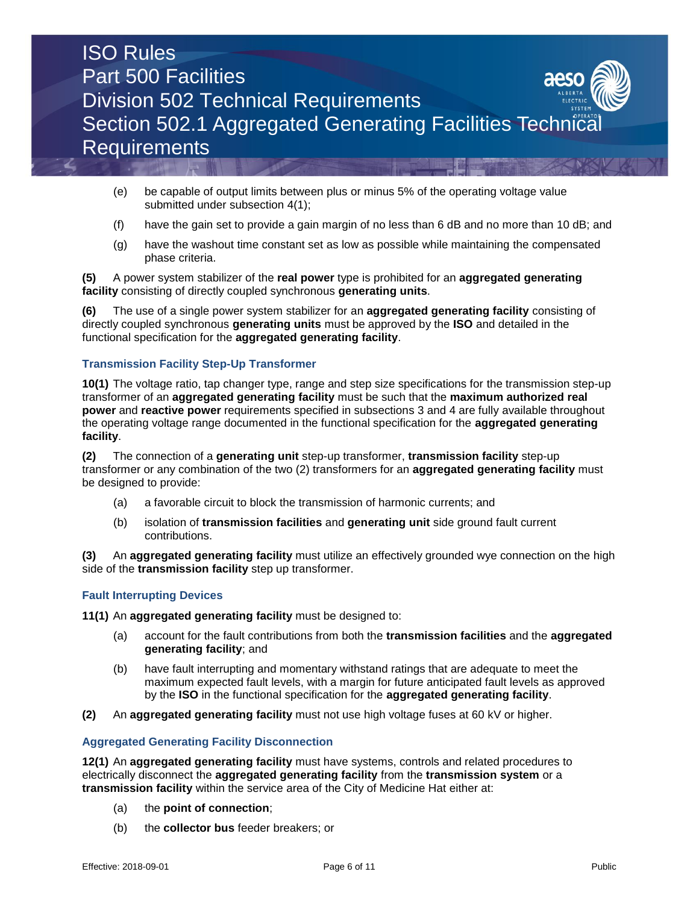

- (e) be capable of output limits between plus or minus 5% of the operating voltage value submitted under subsection 4(1);
- (f) have the gain set to provide a gain margin of no less than 6 dB and no more than 10 dB; and
- (g) have the washout time constant set as low as possible while maintaining the compensated phase criteria.

# **(5)** A power system stabilizer of the **real power** type is prohibited for an **aggregated generating facility** consisting of directly coupled synchronous **generating units**.

**(6)** The use of a single power system stabilizer for an **aggregated generating facility** consisting of directly coupled synchronous **generating units** must be approved by the **ISO** and detailed in the functional specification for the **aggregated generating facility**.

# **Transmission Facility Step-Up Transformer**

**10(1)** The voltage ratio, tap changer type, range and step size specifications for the transmission step-up transformer of an **aggregated generating facility** must be such that the **maximum authorized real power** and **reactive power** requirements specified in subsections 3 and 4 are fully available throughout the operating voltage range documented in the functional specification for the **aggregated generating facility**.

**(2)** The connection of a **generating unit** step-up transformer, **transmission facility** step-up transformer or any combination of the two (2) transformers for an **aggregated generating facility** must be designed to provide:

- (a) a favorable circuit to block the transmission of harmonic currents; and
- (b) isolation of **transmission facilities** and **generating unit** side ground fault current contributions.

**(3)** An **aggregated generating facility** must utilize an effectively grounded wye connection on the high side of the **transmission facility** step up transformer.

# **Fault Interrupting Devices**

**11(1)** An **aggregated generating facility** must be designed to:

- (a) account for the fault contributions from both the **transmission facilities** and the **aggregated generating facility**; and
- (b) have fault interrupting and momentary withstand ratings that are adequate to meet the maximum expected fault levels, with a margin for future anticipated fault levels as approved by the **ISO** in the functional specification for the **aggregated generating facility**.
- **(2)** An **aggregated generating facility** must not use high voltage fuses at 60 kV or higher.

# **Aggregated Generating Facility Disconnection**

**12(1)** An **aggregated generating facility** must have systems, controls and related procedures to electrically disconnect the **aggregated generating facility** from the **transmission system** or a **transmission facility** within the service area of the City of Medicine Hat either at:

- (a) the **point of connection**;
- (b) the **collector bus** feeder breakers; or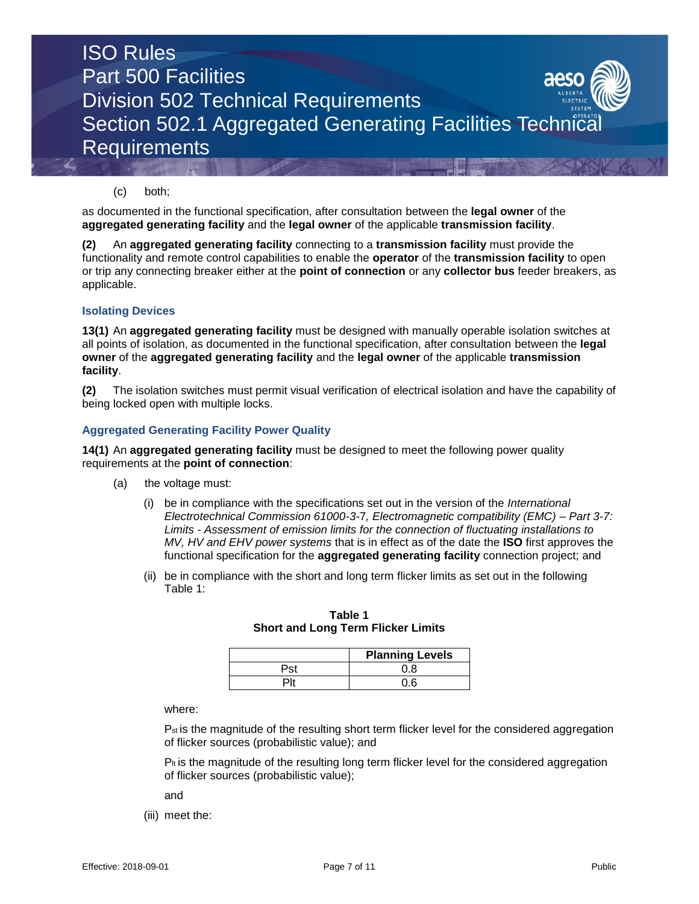

# (c) both;

as documented in the functional specification, after consultation between the **legal owner** of the **aggregated generating facility** and the **legal owner** of the applicable **transmission facility**.

**(2)** An **aggregated generating facility** connecting to a **transmission facility** must provide the functionality and remote control capabilities to enable the **operator** of the **transmission facility** to open or trip any connecting breaker either at the **point of connection** or any **collector bus** feeder breakers, as applicable.

#### **Isolating Devices**

**13(1)** An **aggregated generating facility** must be designed with manually operable isolation switches at all points of isolation, as documented in the functional specification, after consultation between the **legal owner** of the **aggregated generating facility** and the **legal owner** of the applicable **transmission facility**.

**(2)** The isolation switches must permit visual verification of electrical isolation and have the capability of being locked open with multiple locks.

#### **Aggregated Generating Facility Power Quality**

**14(1)** An **aggregated generating facility** must be designed to meet the following power quality requirements at the **point of connection**:

- (a) the voltage must:
	- (i) be in compliance with the specifications set out in the version of the *International Electrotechnical Commission 61000-3-*7*, Electromagnetic compatibility (EMC) – Part 3-7: Limits - Assessment of emission limits for the connection of fluctuating installations to MV, HV and EHV power systems* that is in effect as of the date the **ISO** first approves the functional specification for the **aggregated generating facility** connection project; and
	- (ii) be in compliance with the short and long term flicker limits as set out in the following Table 1:

| <b>Planning Levels</b> |
|------------------------|
|                        |
|                        |

**Table 1 Short and Long Term Flicker Limits** 

where:

P<sub>st</sub> is the magnitude of the resulting short term flicker level for the considered aggregation of flicker sources (probabilistic value); and

 $P_{\text{It}}$  is the magnitude of the resulting long term flicker level for the considered aggregation of flicker sources (probabilistic value);

and

(iii) meet the: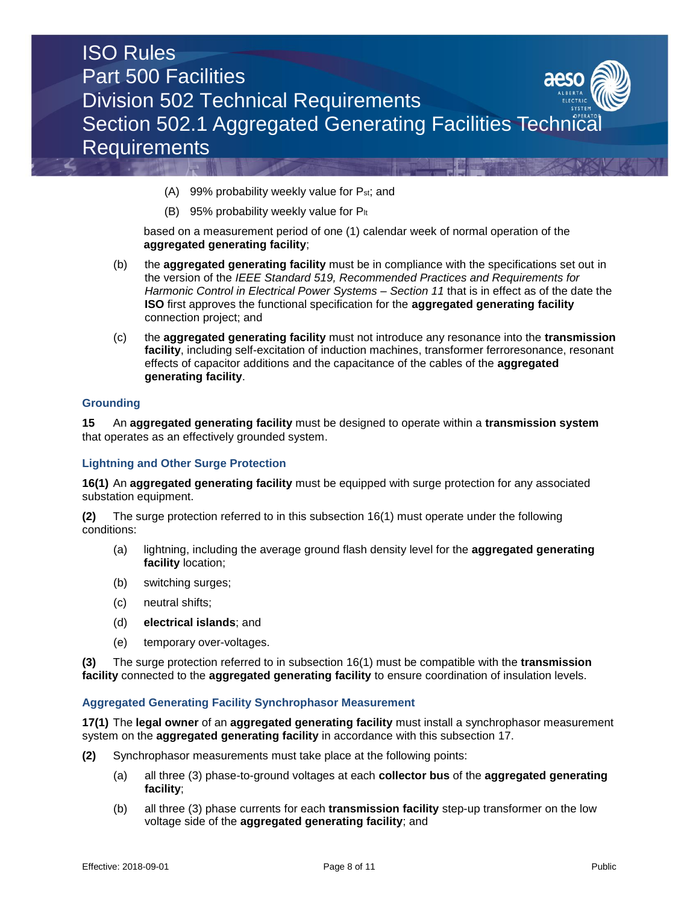

- (A) 99% probability weekly value for Pst; and
- (B) 95% probability weekly value for  $P_{lt}$

based on a measurement period of one (1) calendar week of normal operation of the **aggregated generating facility**;

- (b) the **aggregated generating facility** must be in compliance with the specifications set out in the version of the *IEEE Standard 519, Recommended Practices and Requirements for Harmonic Control in Electrical Power Systems – Section 11* that is in effect as of the date the **ISO** first approves the functional specification for the **aggregated generating facility** connection project; and
- (c) the **aggregated generating facility** must not introduce any resonance into the **transmission facility**, including self-excitation of induction machines, transformer ferroresonance, resonant effects of capacitor additions and the capacitance of the cables of the **aggregated generating facility**.

#### **Grounding**

**15** An **aggregated generating facility** must be designed to operate within a **transmission system**  that operates as an effectively grounded system.

#### **Lightning and Other Surge Protection**

**16(1)** An **aggregated generating facility** must be equipped with surge protection for any associated substation equipment.

**(2)** The surge protection referred to in this subsection 16(1) must operate under the following conditions:

- (a) lightning, including the average ground flash density level for the **aggregated generating facility** location;
- (b) switching surges;
- (c) neutral shifts;
- (d) **electrical islands**; and
- (e) temporary over-voltages.

**(3)** The surge protection referred to in subsection 16(1) must be compatible with the **transmission facility** connected to the **aggregated generating facility** to ensure coordination of insulation levels.

#### **Aggregated Generating Facility Synchrophasor Measurement**

**17(1)** The **legal owner** of an **aggregated generating facility** must install a synchrophasor measurement system on the **aggregated generating facility** in accordance with this subsection 17.

- **(2)** Synchrophasor measurements must take place at the following points:
	- (a) all three (3) phase-to-ground voltages at each **collector bus** of the **aggregated generating facility**;
	- (b) all three (3) phase currents for each **transmission facility** step-up transformer on the low voltage side of the **aggregated generating facility**; and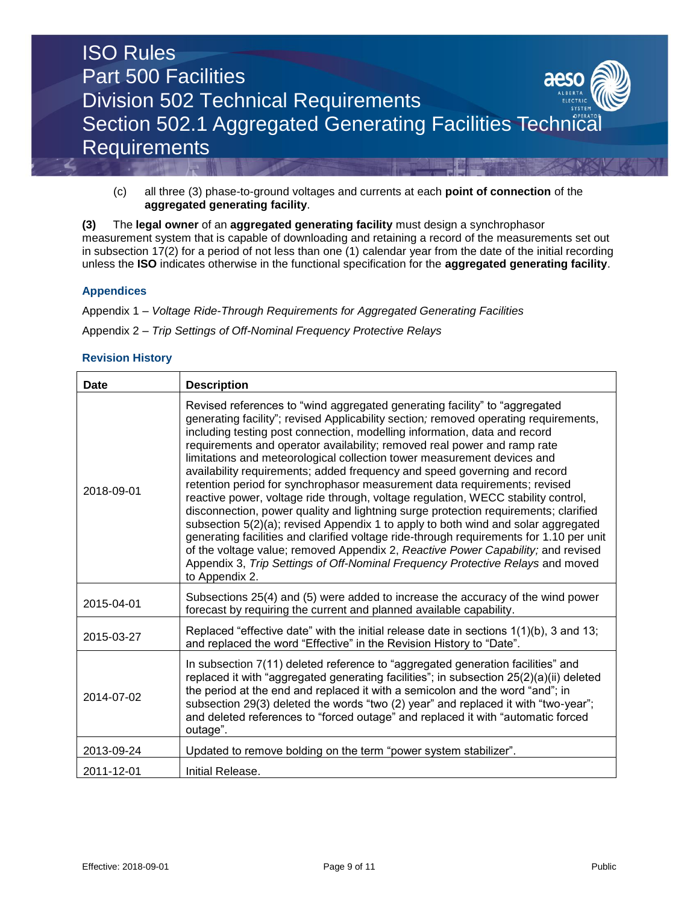

(c) all three (3) phase-to-ground voltages and currents at each **point of connection** of the **aggregated generating facility**.

**(3)** The **legal owner** of an **aggregated generating facility** must design a synchrophasor measurement system that is capable of downloading and retaining a record of the measurements set out in subsection 17(2) for a period of not less than one (1) calendar year from the date of the initial recording unless the **ISO** indicates otherwise in the functional specification for the **aggregated generating facility**.

# **Appendices**

Appendix 1 – *Voltage Ride-Through Requirements for Aggregated Generating Facilities*

Appendix 2 – *Trip Settings of Off-Nominal Frequency Protective Relays*

# **Revision History**

| <b>Date</b> | <b>Description</b>                                                                                                                                                                                                                                                                                                                                                                                                                                                                                                                                                                                                                                                                                                                                                                                                                                                                                                                                                                                                                                                                                                   |
|-------------|----------------------------------------------------------------------------------------------------------------------------------------------------------------------------------------------------------------------------------------------------------------------------------------------------------------------------------------------------------------------------------------------------------------------------------------------------------------------------------------------------------------------------------------------------------------------------------------------------------------------------------------------------------------------------------------------------------------------------------------------------------------------------------------------------------------------------------------------------------------------------------------------------------------------------------------------------------------------------------------------------------------------------------------------------------------------------------------------------------------------|
| 2018-09-01  | Revised references to "wind aggregated generating facility" to "aggregated<br>generating facility"; revised Applicability section; removed operating requirements,<br>including testing post connection, modelling information, data and record<br>requirements and operator availability; removed real power and ramp rate<br>limitations and meteorological collection tower measurement devices and<br>availability requirements; added frequency and speed governing and record<br>retention period for synchrophasor measurement data requirements; revised<br>reactive power, voltage ride through, voltage regulation, WECC stability control,<br>disconnection, power quality and lightning surge protection requirements; clarified<br>subsection 5(2)(a); revised Appendix 1 to apply to both wind and solar aggregated<br>generating facilities and clarified voltage ride-through requirements for 1.10 per unit<br>of the voltage value; removed Appendix 2, Reactive Power Capability; and revised<br>Appendix 3, Trip Settings of Off-Nominal Frequency Protective Relays and moved<br>to Appendix 2. |
| 2015-04-01  | Subsections 25(4) and (5) were added to increase the accuracy of the wind power<br>forecast by requiring the current and planned available capability.                                                                                                                                                                                                                                                                                                                                                                                                                                                                                                                                                                                                                                                                                                                                                                                                                                                                                                                                                               |
| 2015-03-27  | Replaced "effective date" with the initial release date in sections 1(1)(b), 3 and 13;<br>and replaced the word "Effective" in the Revision History to "Date".                                                                                                                                                                                                                                                                                                                                                                                                                                                                                                                                                                                                                                                                                                                                                                                                                                                                                                                                                       |
| 2014-07-02  | In subsection 7(11) deleted reference to "aggregated generation facilities" and<br>replaced it with "aggregated generating facilities"; in subsection 25(2)(a)(ii) deleted<br>the period at the end and replaced it with a semicolon and the word "and"; in<br>subsection 29(3) deleted the words "two (2) year" and replaced it with "two-year";<br>and deleted references to "forced outage" and replaced it with "automatic forced<br>outage".                                                                                                                                                                                                                                                                                                                                                                                                                                                                                                                                                                                                                                                                    |
| 2013-09-24  | Updated to remove bolding on the term "power system stabilizer".                                                                                                                                                                                                                                                                                                                                                                                                                                                                                                                                                                                                                                                                                                                                                                                                                                                                                                                                                                                                                                                     |
| 2011-12-01  | Initial Release.                                                                                                                                                                                                                                                                                                                                                                                                                                                                                                                                                                                                                                                                                                                                                                                                                                                                                                                                                                                                                                                                                                     |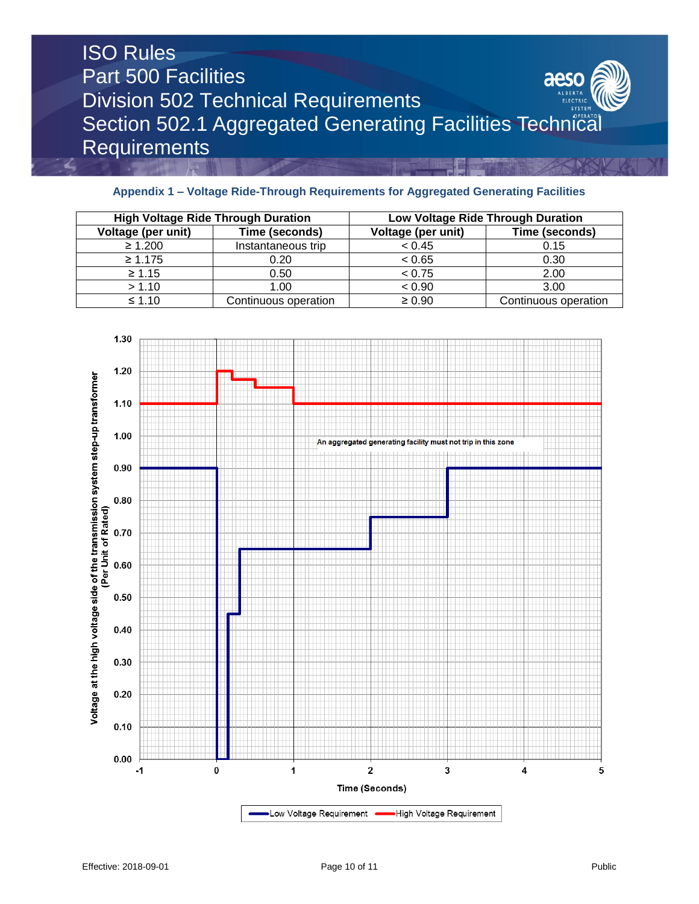# **Appendix 1 – Voltage Ride-Through Requirements for Aggregated Generating Facilities**

| <b>High Voltage Ride Through Duration</b> |                      | Low Voltage Ride Through Duration |                      |
|-------------------------------------------|----------------------|-----------------------------------|----------------------|
| Voltage (per unit)                        | Time (seconds)       | Voltage (per unit)                | Time (seconds)       |
| $\geq 1.200$                              | Instantaneous trip   | < 0.45                            | 0.15                 |
| $\geq 1.175$                              | 0.20                 | < 0.65                            | 0.30                 |
| $\geq 1.15$                               | 0.50                 | < 0.75                            | 2.00                 |
| > 1.10                                    | 1.00                 | < 0.90                            | 3.00                 |
| $\leq 1.10$                               | Continuous operation | $\geq 0.90$                       | Continuous operation |